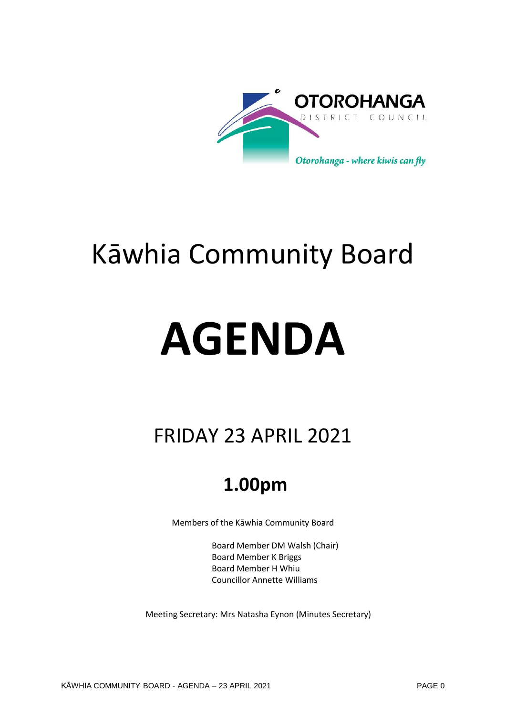

# Kāwhia Community Board

# **AGENDA**

## FRIDAY 23 APRIL 2021

## **1.00pm**

Members of the Kāwhia Community Board

Board Member DM Walsh (Chair) Board Member K Briggs Board Member H Whiu Councillor Annette Williams

Meeting Secretary: Mrs Natasha Eynon (Minutes Secretary)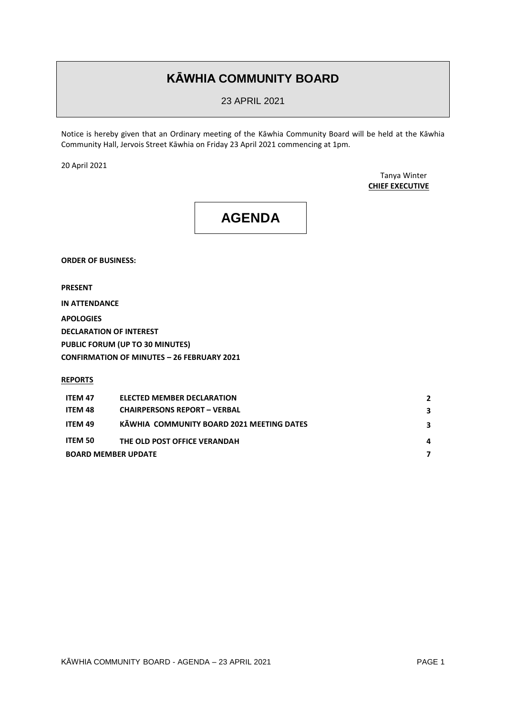### **KĀWHIA COMMUNITY BOARD**

23 APRIL 2021

Notice is hereby given that an Ordinary meeting of the Kāwhia Community Board will be held at the Kāwhia Community Hall, Jervois Street Kāwhia on Friday 23 April 2021 commencing at 1pm.

20 April 2021

Tanya Winter **CHIEF EXECUTIVE**

## **AGENDA**

**ORDER OF BUSINESS:**

**PRESENT**

**IN ATTENDANCE**

**APOLOGIES**

**DECLARATION OF INTEREST**

**PUBLIC FORUM (UP TO 30 MINUTES)**

**CONFIRMATION OF MINUTES – 26 FEBRUARY 2021**

**REPORTS**

| <b>ITEM 47</b>             | <b>ELECTED MEMBER DECLARATION</b>         | 2 |
|----------------------------|-------------------------------------------|---|
| ITEM 48                    | <b>CHAIRPERSONS REPORT - VERBAL</b>       | 3 |
| ITEM 49                    | KAWHIA COMMUNITY BOARD 2021 MEETING DATES | 3 |
| ITEM 50                    | THE OLD POST OFFICE VERANDAH              | 4 |
| <b>BOARD MEMBER UPDATE</b> |                                           |   |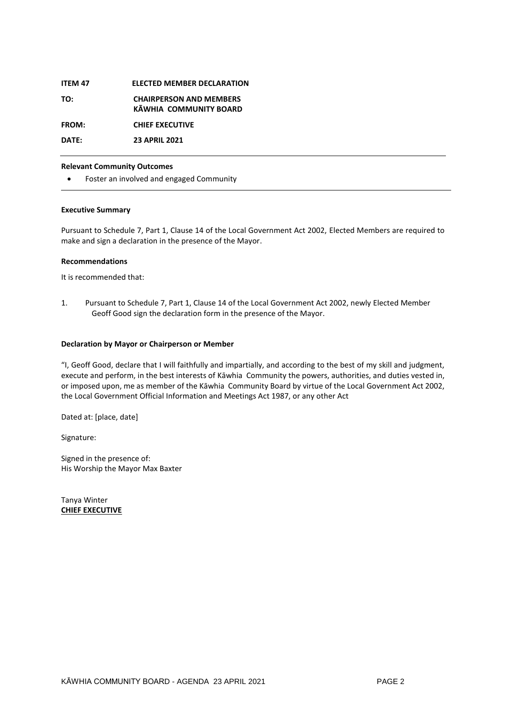| <b>ITEM 47</b> | <b>ELECTED MEMBER DECLARATION</b>                        |
|----------------|----------------------------------------------------------|
| TO:            | <b>CHAIRPERSON AND MEMBERS</b><br>KAWHIA COMMUNITY BOARD |
| FROM:          | <b>CHIEF EXECUTIVE</b>                                   |
| DATE:          | <b>23 APRIL 2021</b>                                     |
|                |                                                          |

#### **Relevant Community Outcomes**

Foster an involved and engaged Community

#### **Executive Summary**

Pursuant to Schedule 7, Part 1, Clause 14 of the Local Government Act 2002, Elected Members are required to make and sign a declaration in the presence of the Mayor.

#### **Recommendations**

It is recommended that:

1. Pursuant to Schedule 7, Part 1, Clause 14 of the Local Government Act 2002, newly Elected Member Geoff Good sign the declaration form in the presence of the Mayor.

#### **Declaration by Mayor or Chairperson or Member**

"I, Geoff Good, declare that I will faithfully and impartially, and according to the best of my skill and judgment, execute and perform, in the best interests of Kāwhia Community the powers, authorities, and duties vested in, or imposed upon, me as member of the Kāwhia Community Board by virtue of the Local Government Act 2002, the Local Government Official Information and Meetings Act 1987, or any other Act

Dated at: [place, date]

Signature:

Signed in the presence of: His Worship the Mayor Max Baxter

Tanya Winter **CHIEF EXECUTIVE**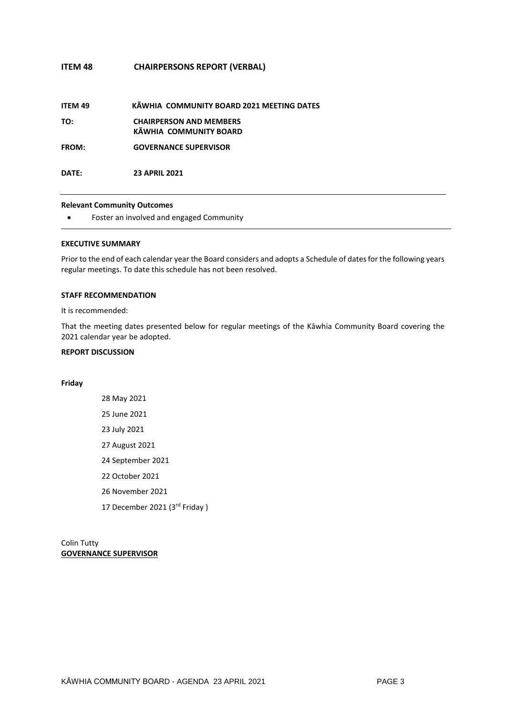#### **ITEM 48 CHAIRPERSONS REPORT (VERBAL)**

| ITEM 49 | KAWHIA COMMUNITY BOARD 2021 MEETING DATES |  |  |
|---------|-------------------------------------------|--|--|
|         |                                           |  |  |

**TO: CHAIRPERSON AND MEMBERS KĀWHIA COMMUNITY BOARD**

**FROM: GOVERNANCE SUPERVISOR**

**DATE: 23 APRIL 2021**

#### **Relevant Community Outcomes**

Foster an involved and engaged Community

#### **EXECUTIVE SUMMARY**

Prior to the end of each calendar year the Board considers and adopts a Schedule of dates for the following years regular meetings. To date this schedule has not been resolved.

#### **STAFF RECOMMENDATION**

It is recommended:

That the meeting dates presented below for regular meetings of the Kāwhia Community Board covering the 2021 calendar year be adopted.

#### **REPORT DISCUSSION**

#### **Friday**

Colin Tutty **GOVERNANCE SUPERVISOR**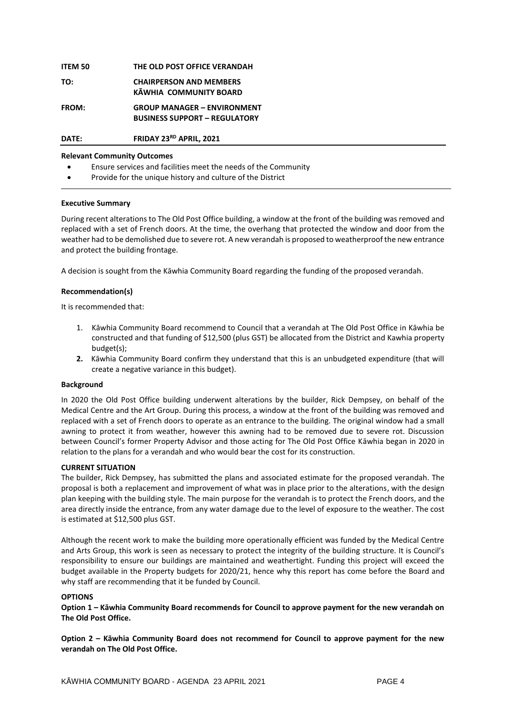| <b>ITEM 50</b> | THE OLD POST OFFICE VERANDAH                                               |
|----------------|----------------------------------------------------------------------------|
| TO:            | <b>CHAIRPERSON AND MEMBERS</b><br>KĀWHIA COMMUNITY BOARD                   |
| <b>FROM:</b>   | <b>GROUP MANAGER - ENVIRONMENT</b><br><b>BUSINESS SUPPORT - REGULATORY</b> |
| DATE:          | FRIDAY 23RD APRIL, 2021                                                    |

#### **Relevant Community Outcomes**

- Ensure services and facilities meet the needs of the Community
- Provide for the unique history and culture of the District

#### **Executive Summary**

During recent alterations to The Old Post Office building, a window at the front of the building was removed and replaced with a set of French doors. At the time, the overhang that protected the window and door from the weather had to be demolished due to severe rot. A new verandah is proposed to weatherproof the new entrance and protect the building frontage.

A decision is sought from the Kāwhia Community Board regarding the funding of the proposed verandah.

#### **Recommendation(s)**

It is recommended that:

- 1. Kāwhia Community Board recommend to Council that a verandah at The Old Post Office in Kāwhia be constructed and that funding of \$12,500 (plus GST) be allocated from the District and Kawhia property budget(s);
- **2.** Kāwhia Community Board confirm they understand that this is an unbudgeted expenditure (that will create a negative variance in this budget).

#### **Background**

In 2020 the Old Post Office building underwent alterations by the builder, Rick Dempsey, on behalf of the Medical Centre and the Art Group. During this process, a window at the front of the building was removed and replaced with a set of French doors to operate as an entrance to the building. The original window had a small awning to protect it from weather, however this awning had to be removed due to severe rot. Discussion between Council's former Property Advisor and those acting for The Old Post Office Kāwhia began in 2020 in relation to the plans for a verandah and who would bear the cost for its construction.

#### **CURRENT SITUATION**

The builder, Rick Dempsey, has submitted the plans and associated estimate for the proposed verandah. The proposal is both a replacement and improvement of what was in place prior to the alterations, with the design plan keeping with the building style. The main purpose for the verandah is to protect the French doors, and the area directly inside the entrance, from any water damage due to the level of exposure to the weather. The cost is estimated at \$12,500 plus GST.

Although the recent work to make the building more operationally efficient was funded by the Medical Centre and Arts Group, this work is seen as necessary to protect the integrity of the building structure. It is Council's responsibility to ensure our buildings are maintained and weathertight. Funding this project will exceed the budget available in the Property budgets for 2020/21, hence why this report has come before the Board and why staff are recommending that it be funded by Council.

#### **OPTIONS**

**Option 1 – Kāwhia Community Board recommends for Council to approve payment for the new verandah on The Old Post Office.** 

**Option 2 – Kāwhia Community Board does not recommend for Council to approve payment for the new verandah on The Old Post Office.**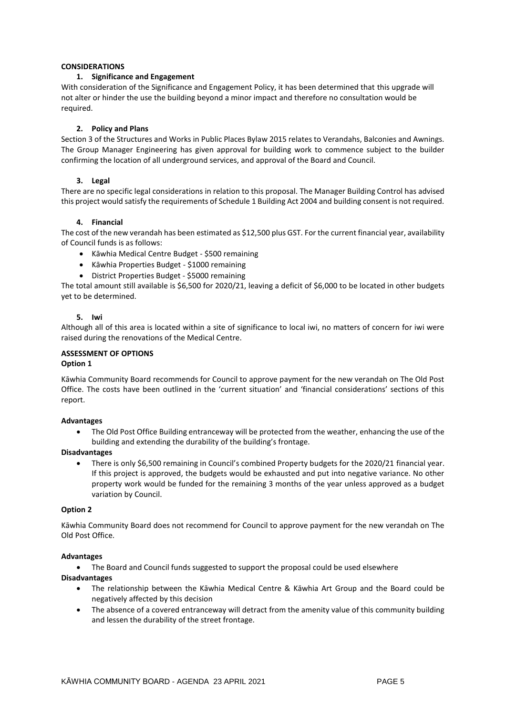#### **CONSIDERATIONS**

#### **1. Significance and Engagement**

With consideration of the Significance and Engagement Policy, it has been determined that this upgrade will not alter or hinder the use the building beyond a minor impact and therefore no consultation would be required.

#### **2. Policy and Plans**

Section 3 of the Structures and Works in Public Places Bylaw 2015 relates to Verandahs, Balconies and Awnings. The Group Manager Engineering has given approval for building work to commence subject to the builder confirming the location of all underground services, and approval of the Board and Council.

#### **3. Legal**

There are no specific legal considerations in relation to this proposal. The Manager Building Control has advised this project would satisfy the requirements of Schedule 1 Building Act 2004 and building consent is not required.

#### **4. Financial**

The cost of the new verandah has been estimated as \$12,500 plus GST. For the current financial year, availability of Council funds is as follows:

- Kāwhia Medical Centre Budget \$500 remaining
- Kāwhia Properties Budget \$1000 remaining
- District Properties Budget \$5000 remaining

The total amount still available is \$6,500 for 2020/21, leaving a deficit of \$6,000 to be located in other budgets yet to be determined.

#### **5. Iwi**

Although all of this area is located within a site of significance to local iwi, no matters of concern for iwi were raised during the renovations of the Medical Centre.

#### **ASSESSMENT OF OPTIONS**

#### **Option 1**

Kāwhia Community Board recommends for Council to approve payment for the new verandah on The Old Post Office. The costs have been outlined in the 'current situation' and 'financial considerations' sections of this report.

#### **Advantages**

 The Old Post Office Building entranceway will be protected from the weather, enhancing the use of the building and extending the durability of the building's frontage.

#### **Disadvantages**

 There is only \$6,500 remaining in Council's combined Property budgets for the 2020/21 financial year. If this project is approved, the budgets would be exhausted and put into negative variance. No other property work would be funded for the remaining 3 months of the year unless approved as a budget variation by Council.

#### **Option 2**

Kāwhia Community Board does not recommend for Council to approve payment for the new verandah on The Old Post Office.

#### **Advantages**

• The Board and Council funds suggested to support the proposal could be used elsewhere

#### **Disadvantages**

- The relationship between the Kāwhia Medical Centre & Kāwhia Art Group and the Board could be negatively affected by this decision
- The absence of a covered entranceway will detract from the amenity value of this community building and lessen the durability of the street frontage.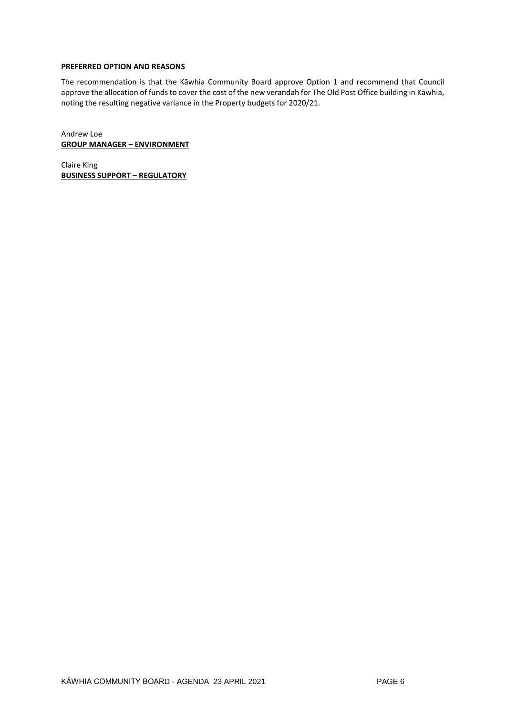#### **PREFERRED OPTION AND REASONS**

The recommendation is that the Kāwhia Community Board approve Option 1 and recommend that Council approve the allocation of funds to cover the cost of the new verandah for The Old Post Office building in Kāwhia, noting the resulting negative variance in the Property budgets for 2020/21.

Andrew Loe **GROUP MANAGER – ENVIRONMENT**

Claire King **BUSINESS SUPPORT – REGULATORY**